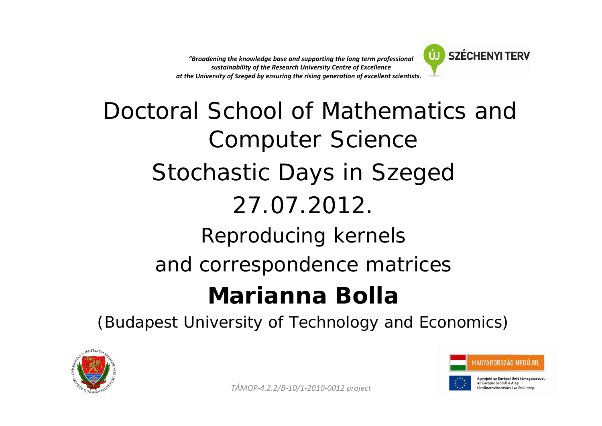*"Broadening the knowledge base and supporting the long term professional sustainability of the Research University Centre of Excellence at the University of Szeged by ensuring the rising generation of excellent scientists."*"



# Doctoral School of Mathematics and Computer Science Stochastic Days in Szeged 27.07.2012.Reproducing kernels and correspondence matrices **Marianna Bolla**

(Budapest University of Technology and Economics)





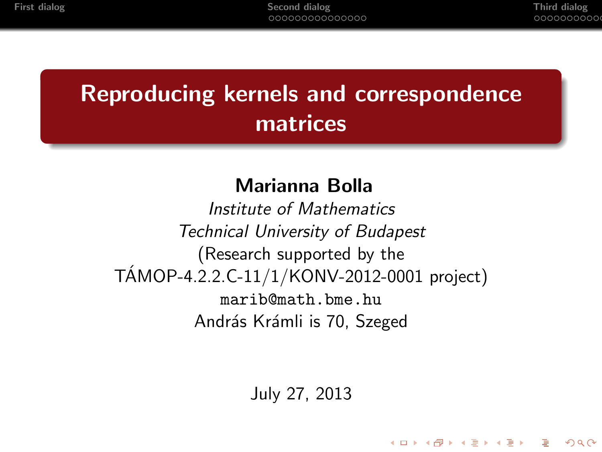**KORK ERKER LER KORA** 

# Reproducing kernels and correspondence matrices

#### Marianna Bolla

Institute of Mathematics Technical University of Budapest (Research supported by the  $TAMOP-4.2.2.C-11/1/KONV-2012-0001 project)$ marib@math.bme.hu András Krámli is 70, Szeged

July 27, 2013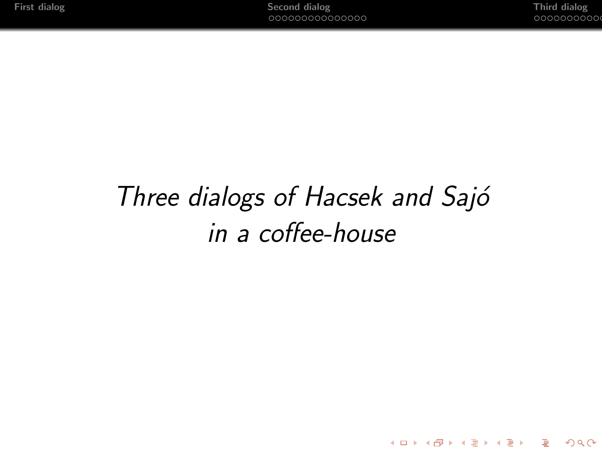K ロ ▶ K @ ▶ K 할 ▶ K 할 ▶ 이 할 → 9 Q Q\*

# Three dialogs of Hacsek and Sajó in a coffee-house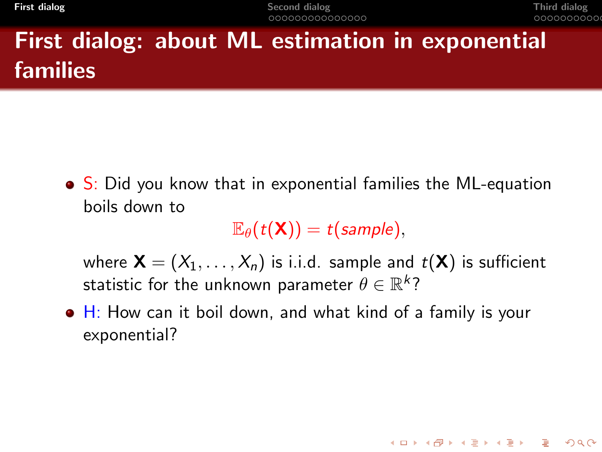**[First dialog](#page-3-0)** Third dialog [Second dialog](#page-7-0) Second dialog Second time that the second of the second of the second of the second dialog second by the second of the second dialog second by the second of the second of the secon

**KORK ERKER ADAM ADA** 

# First dialog: about ML estimation in exponential families

• S: Did you know that in exponential families the ML-equation boils down to

 $\mathbb{E}_{\theta}(t(\mathsf{X})) = t(\text{sample}).$ 

where  $\mathbf{X} = (X_1, \ldots, X_n)$  is i.i.d. sample and  $t(\mathbf{X})$  is sufficient statistic for the unknown parameter  $\theta \in \mathbb{R}^k?$ 

<span id="page-3-0"></span> $\bullet$  H: How can it boil down, and what kind of a family is your exponential?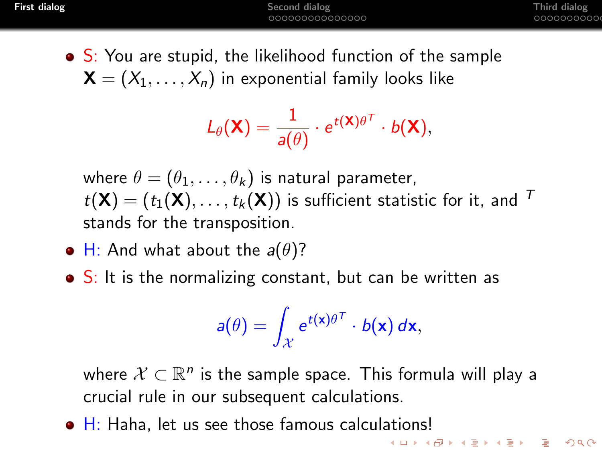$\bullet$  S: You are stupid, the likelihood function of the sample  $\mathbf{X} = (X_1, \ldots, X_n)$  in exponential family looks like

$$
L_{\theta}(\mathbf{X}) = \frac{1}{a(\theta)} \cdot e^{t(\mathbf{X})\theta^T} \cdot b(\mathbf{X}),
$$

where  $\theta = (\theta_1, \ldots, \theta_k)$  is natural parameter,  $t(\mathsf{X}) = (t_1(\mathsf{X}), \ldots, t_k(\mathsf{X}))$  is sufficient statistic for it, and  $\tau$ stands for the transposition.

- H: And what about the  $a(\theta)$ ?
- $\bullet$  S: It is the normalizing constant, but can be written as

$$
a(\theta) = \int_{\mathcal{X}} e^{t(\mathbf{x})\theta^T} \cdot b(\mathbf{x}) d\mathbf{x},
$$

where  $\mathcal{X} \subset \mathbb{R}^n$  is the sample space. This formula will play a crucial rule in our subsequent calculations.

• H: Haha, let us see those famous calculations!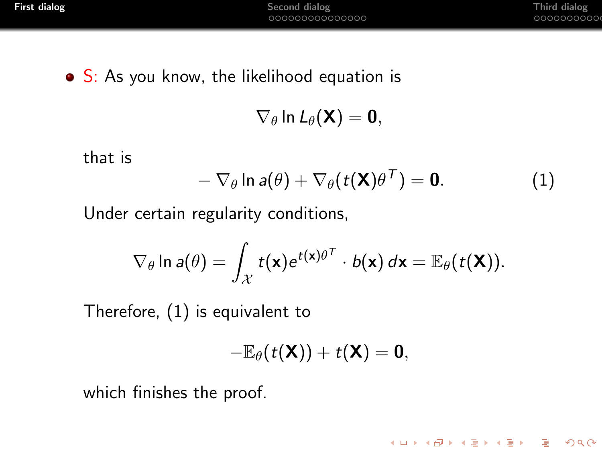**KORK STRAIN A STRAIN A COMPA** 

• S: As you know, the likelihood equation is

 $\nabla_{\theta}$  ln  $L_{\theta}(\mathbf{X}) = \mathbf{0}$ ,

that is

<span id="page-5-0"></span>
$$
-\nabla_{\theta} \ln a(\theta) + \nabla_{\theta}(t(\mathbf{X})\theta^{\mathsf{T}}) = \mathbf{0}.
$$
 (1)

Under certain regularity conditions,

$$
\nabla_{\theta} \ln a(\theta) = \int_{\mathcal{X}} t(\mathbf{x}) e^{t(\mathbf{x})\theta^{\mathcal{T}}} \cdot b(\mathbf{x}) d\mathbf{x} = \mathbb{E}_{\theta}(t(\mathbf{X})).
$$

Therefore, [\(1\)](#page-5-0) is equivalent to

$$
-\mathbb{E}_{\theta}(t(\mathbf{X}))+t(\mathbf{X})=\mathbf{0},
$$

which finishes the proof.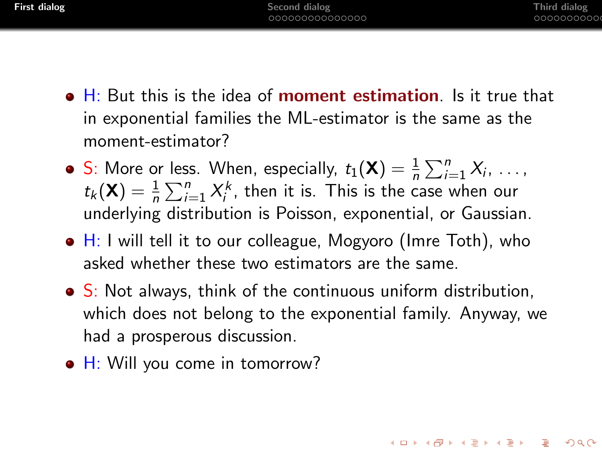- H: But this is the idea of **moment estimation**. Is it true that in exponential families the ML-estimator is the same as the moment-estimator?
- S: More or less. When, especially,  $t_1(\mathbf{X}) = \frac{1}{n} \sum_{i=1}^{n} X_i, \ldots$  $t_k(\mathbf{X}) = \frac{1}{n} \sum_{i=1}^n X_i^k$ , then it is. This is the case when our underlying distribution is Poisson, exponential, or Gaussian.
- $\bullet$  H: I will tell it to our colleague, Mogyoro (Imre Toth), who asked whether these two estimators are the same.
- S: Not always, think of the continuous uniform distribution, which does not belong to the exponential family. Anyway, we had a prosperous discussion.
- H: Will you come in tomorrow?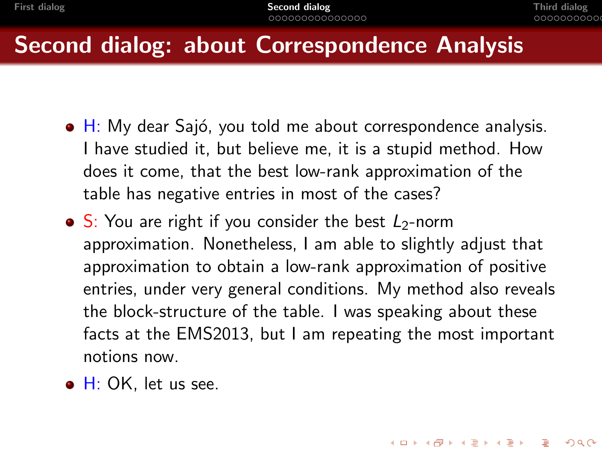**KORKAPRA ER ET A GAR** 

## Second dialog: about Correspondence Analysis

- $\bullet$  H: My dear Sajó, you told me about correspondence analysis. I have studied it, but believe me, it is a stupid method. How does it come, that the best low-rank approximation of the table has negative entries in most of the cases?
- $\bullet$  S: You are right if you consider the best  $L_2$ -norm approximation. Nonetheless, I am able to slightly adjust that approximation to obtain a low-rank approximation of positive entries, under very general conditions. My method also reveals the block-structure of the table. I was speaking about these facts at the EMS2013, but I am repeating the most important notions now.
- <span id="page-7-0"></span> $\bullet$  H: OK, let us see.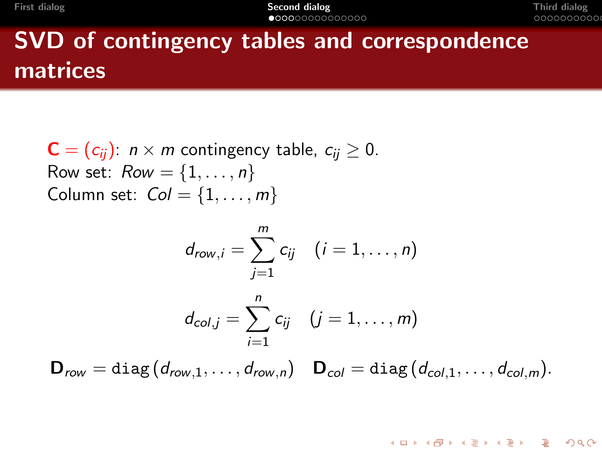# SVD of contingency tables and correspondence matrices

$$
C = (c_{ij}): n \times m \text{ contingency table, } c_{ij} \ge 0.
$$
  
Row set: Row = {1, ..., n}  
Column set: Col = {1, ..., m}

$$
d_{row,i} = \sum_{j=1}^{m} c_{ij} \quad (i = 1, \ldots, n)
$$

$$
d_{col,j} = \sum_{i=1}^{n} c_{ij} \quad (j = 1, \ldots, m)
$$

$$
\mathbf{D}_{row} = \text{diag}(d_{row,1}, \ldots, d_{row,n}) \quad \mathbf{D}_{col} = \text{diag}(d_{col,1}, \ldots, d_{col,m}).
$$

K ロ ▶ K @ ▶ K 할 ▶ K 할 ▶ 이 할 → 9 Q Q\*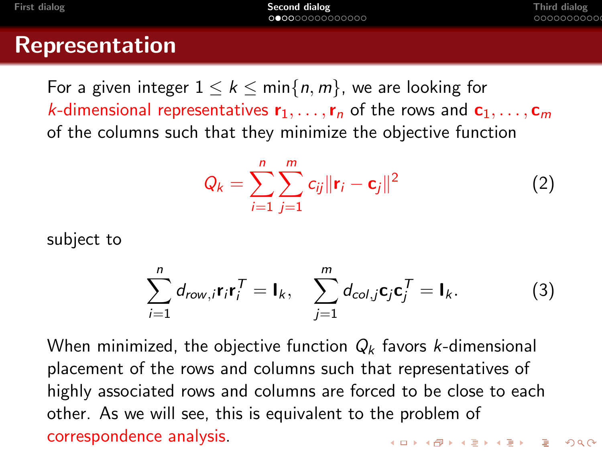#### Representation

For a given integer  $1 \leq k \leq \min\{n, m\}$ , we are looking for k-dimensional representatives  $r_1, \ldots, r_n$  of the rows and  $c_1, \ldots, c_m$ of the columns such that they minimize the objective function

$$
Q_k = \sum_{i=1}^{n} \sum_{j=1}^{m} c_{ij} ||\mathbf{r}_i - \mathbf{c}_j||^2
$$
 (2)

subject to

$$
\sum_{i=1}^{n} d_{row,i} \mathbf{r}_{i} \mathbf{r}_{i}^{T} = \mathbf{I}_{k}, \quad \sum_{j=1}^{m} d_{col,j} \mathbf{c}_{j} \mathbf{c}_{j}^{T} = \mathbf{I}_{k}.
$$
 (3)

When minimized, the objective function  $Q_k$  favors k-dimensional placement of the rows and columns such that representatives of highly associated rows and columns are forced to be close to each other. As we will see, this is equivalent to the problem of correspondence analysis.**KORK ERKER ADAM ADA**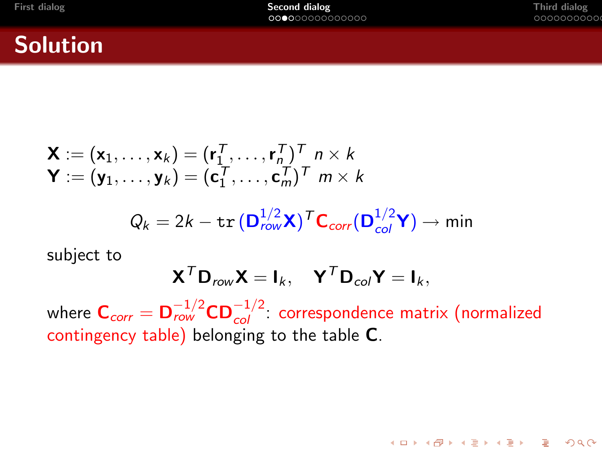K ロ ▶ K @ ▶ K 할 ▶ K 할 ▶ 이 할 → 9 Q Q\*

#### Solution

$$
\mathbf{X} := (\mathbf{x}_1, \dots, \mathbf{x}_k) = (\mathbf{r}_1^T, \dots, \mathbf{r}_n^T)^T \; n \times k
$$
  

$$
\mathbf{Y} := (\mathbf{y}_1, \dots, \mathbf{y}_k) = (\mathbf{c}_1^T, \dots, \mathbf{c}_m^T)^T \; m \times k
$$
  

$$
Q_k = 2k - \text{tr} \left( \mathbf{D}_{row}^{1/2} \mathbf{X} \right)^T \mathbf{C}_{corr}(\mathbf{D}_{col}^{1/2} \mathbf{Y}) \rightarrow \text{min}
$$

subject to

$$
\mathbf{X}^T \mathbf{D}_{row} \mathbf{X} = \mathbf{I}_k, \quad \mathbf{Y}^T \mathbf{D}_{col} \mathbf{Y} = \mathbf{I}_k,
$$

where  $\textbf{C}_{corr} = \textbf{D}_{row}^{-1/2} \textbf{CD}_{col}^{-1/2}$ : correspondence matrix (normalized contingency table) belonging to the table C.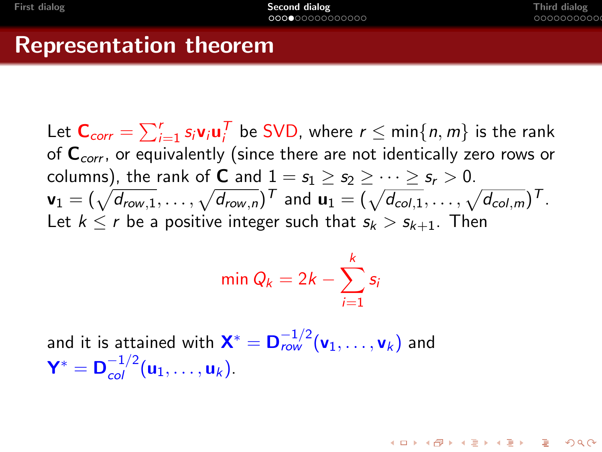## Representation theorem

Let  $\textsf{C}_{corr} = \sum_{i=1}^r s_i \textsf{v}_i \textsf{u}_i^{\mathcal{T}}$  be SVD, where  $r \leq \min\{n,m\}$  is the rank of  $C_{corr}$ , or equivalently (since there are not identically zero rows or columns), the rank of **C** and  $1 = s_1 > s_2 > \cdots > s_r > 0$ .  ${\sf v}_1=(\sqrt{d_{\sf row,1}},\ldots,\sqrt{d_{\sf row,n}})^{\text{\sf T}}$  and  ${\sf u}_1=(\sqrt{d_{\sf col,1}},\ldots,\sqrt{d_{\sf col,m}})^{\text{\sf T}}$  . Let  $k \le r$  be a positive integer such that  $s_k > s_{k+1}$ . Then

$$
\min Q_k = 2k - \sum_{i=1}^k s_i
$$

and it is attained with  $\mathbf{X}^* = \mathbf{D}_{row}^{-1/2}(\mathbf{v}_1, \dots, \mathbf{v}_k)$  and  $Y^* = D_{col}^{-1/2} (u_1, \ldots, u_k).$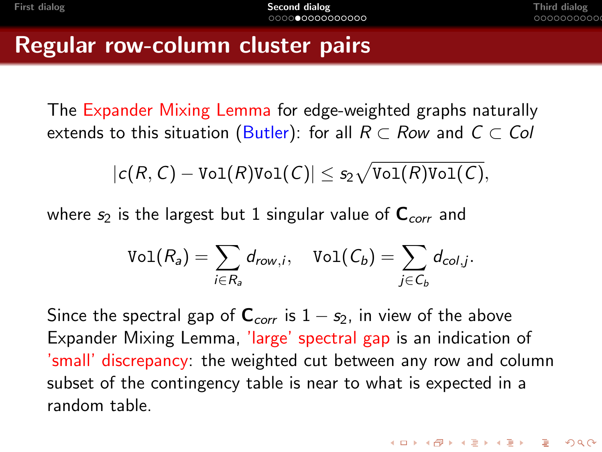## Regular row-column cluster pairs

The Expander Mixing Lemma for edge-weighted graphs naturally extends to this situation (Butler): for all  $R \subset Row$  and  $C \subset Col$ 

$$
|c(R,C)-\textnormal{Vol}(R)\textnormal{Vol}(C)|\leq s_2\sqrt{\textnormal{Vol}(R)\textnormal{Vol}(C)},
$$

where  $s_2$  is the largest but 1 singular value of  $C_{corr}$  and

$$
\text{Vol}(R_a) = \sum_{i \in R_a} d_{row,i}, \quad \text{Vol}(C_b) = \sum_{j \in C_b} d_{col,j}.
$$

<span id="page-12-0"></span>Since the spectral gap of  $C_{corr}$  is  $1 - s_2$ , in view of the above Expander Mixing Lemma, 'large' spectral gap is an indication of 'small' discrepancy: the weighted cut between any row and column subset of the contingency table is near to what is expected in a random table.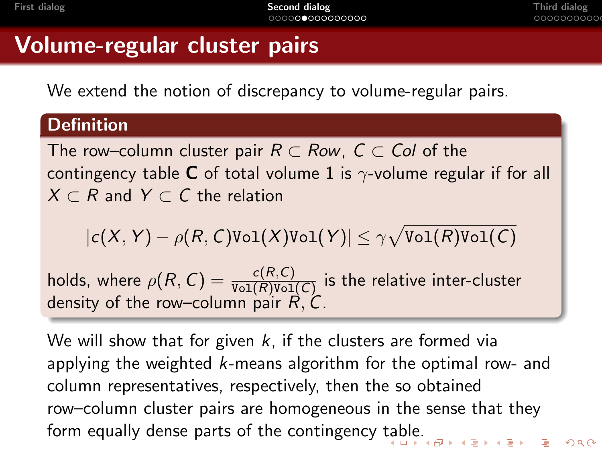# Volume-regular cluster pairs

We extend the notion of discrepancy to volume-regular pairs.

#### **Definition**

The row–column cluster pair  $R \subset Row$ ,  $C \subset Col$  of the contingency table **C** of total volume 1 is  $\gamma$ -volume regular if for all  $X \subset R$  and  $Y \subset C$  the relation

$$
|c(X, Y) - \rho(R, C)\text{Vol}(X)\text{Vol}(Y)| \leq \gamma \sqrt{\text{Vol}(R)\text{Vol}(C)}
$$

holds, where  $\rho(R,\,\mathcal{C})=\frac{c(R,\mathcal{C})}{\texttt{Vol}(R)\texttt{Vol}(\mathcal{C})}$  is the relative inter-cluster density of the row–column pair  $\vec{R}$ ,  $\vec{C}$ .

<span id="page-13-0"></span>We will show that for given  $k$ , if the clusters are formed via applying the weighted k-means algorithm for the optimal row- and column representatives, respectively, then the so obtained row–column cluster pairs are homogeneous in the sense that they form equally dense parts of the contingency [tab](#page-12-0)[le](#page-14-0)[.](#page-12-0)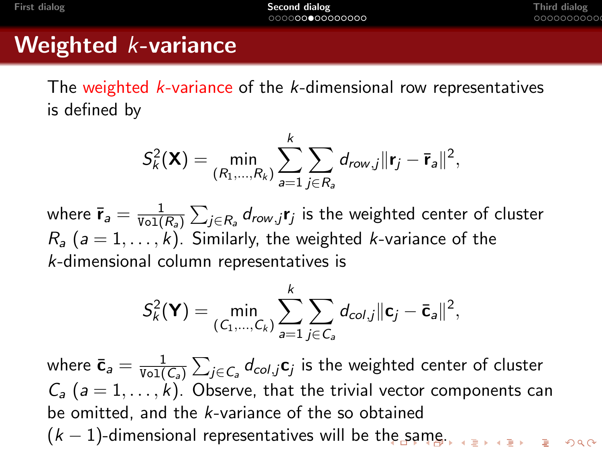# Weighted *k*-variance

The weighted k-variance of the k-dimensional row representatives is defined by

$$
S_k^2(\mathbf{X}) = \min_{(R_1,\ldots,R_k)} \sum_{a=1}^k \sum_{j \in R_a} d_{row,j} ||\mathbf{r}_j - \overline{\mathbf{r}}_a||^2,
$$

where  $\bar{\mathbf{r}}_a = \frac{1}{\text{Vol}(\bar{\mathbf{r}})}$  $\frac{1}{\text{Vol}(R_a)}\sum_{j\in R_a}d_{row,j}$ r $_j$  is the weighted center of cluster  $R_a$  (a = 1, ..., k). Similarly, the weighted k-variance of the k-dimensional column representatives is

$$
S_k^2(\mathbf{Y}) = \min_{(C_1,\ldots,C_k)} \sum_{a=1}^k \sum_{j \in C_a} d_{col,j} ||\mathbf{c}_j - \mathbf{\bar{c}}_a||^2,
$$

<span id="page-14-0"></span>where  $\bar{\mathbf{c}}_a = \frac{1}{\text{Vol}(\mathbf{c})}$  $\frac{1}{\text{Vol}( \mathcal{C}_a )} \sum_{j\in \mathcal{C}_a} d_{col,j} \mathbf{c}_j$  is the weighted center of cluster  $C_a$  ( $a = 1, \ldots, k$ ). Observe, that the trivial vector components can be omitted, and the k-variance of the so obtained  $(k-1)$ -dimensional representatives will be t[he](#page-13-0) [sa](#page-15-0)[m](#page-13-0)[e.](#page-14-0)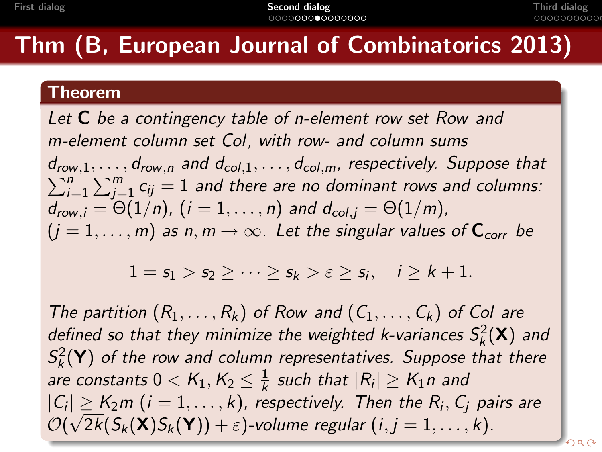# Thm (B, European Journal of Combinatorics 2013)

#### Theorem

Let  $C$  be a contingency table of n-element row set Row and m-element column set Col, with row- and column sums  $d_{row,1}, \ldots, d_{row,n}$  and  $d_{col,1}, \ldots, d_{col,m}$ , respectively. Suppose that  $d_{row,1}, \ldots, d_{row,n}$  and  $d_{col,1}, \ldots, d_{col,m}$ , respectively. Suppose that  $\sum_{i=1}^{n} \sum_{i=1}^{m} c_{ij} = 1$  and there are no dominant rows and columns:  $\sum_{j=1}^n\sum_{j=1}^m c_{ij}=1$  and there are no dominant rows and columns:  $d_{row,i} = \Theta(1/n)$ ,  $(i = 1, ..., n)$  and  $d_{col,i} = \Theta(1/m)$ ,  $(j = 1, \ldots, m)$  as n,  $m \to \infty$ . Let the singular values of  $C_{corr}$  be

 $1 = s_1 > s_2 \geq \cdots \geq s_k > \varepsilon \geq s_i, \quad i \geq k+1.$ 

<span id="page-15-0"></span>The partition  $(R_1, \ldots, R_k)$  of Row and  $(C_1, \ldots, C_k)$  of Col are defined so that they minimize the weighted k-variances  $S_k^2(\mathbf{X})$  and  $S_k^2(\mathbf{Y})$  of the row and column representatives. Suppose that there are constants  $0 < K_1, K_2 \leq \frac{1}{k}$  $\frac{1}{k}$  such that  $|R_i| \geq K_1 n$  and  $|C_i| \geq K_2 m$   $(i = 1, \ldots, k)$ , respectively. Then the  $R_i, C_j$  pairs are  $\mathcal{O}(\sqrt{2k}(\mathsf{S}_k(\mathbf{X})\mathsf{S}_k(\mathbf{Y}))+\varepsilon)$ -volume regular  $(i,j=1,\ldots,k).$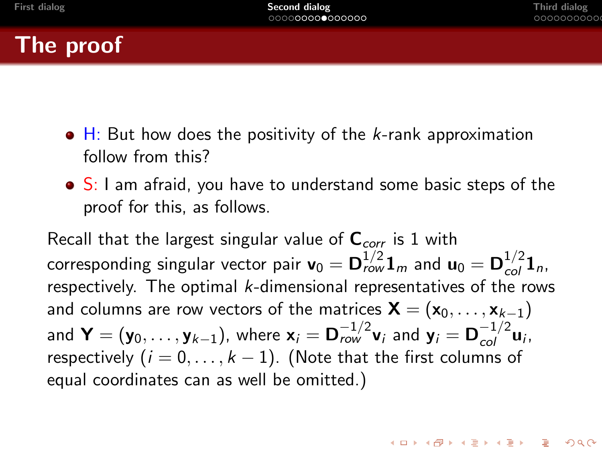

- $\bullet$  H: But how does the positivity of the *k*-rank approximation follow from this?
- S: I am afraid, you have to understand some basic steps of the proof for this, as follows.

Recall that the largest singular value of  $C_{corr}$  is 1 with corresponding singular vector pair  $\mathbf{v}_0 = \mathbf{D}_{row}^{1/2} \mathbf{1}_m$  and  $\mathbf{u}_0 = \mathbf{D}_{col}^{1/2} \mathbf{1}_n$ , respectively. The optimal  $k$ -dimensional representatives of the rows and columns are row vectors of the matrices  $\mathbf{X} = (\mathbf{x}_0, \dots, \mathbf{x}_{k-1})$ and  $\textbf{Y}=(\textbf{y}_0,\ldots,\textbf{y}_{k-1})$ , where  $\textbf{x}_i=\textbf{D}_{row}^{-1/2}\textbf{v}_i$  and  $\textbf{y}_i=\textbf{D}_{col}^{-1/2}\textbf{u}_i$ , respectively  $(i = 0, \ldots, k - 1)$ . (Note that the first columns of equal coordinates can as well be omitted.)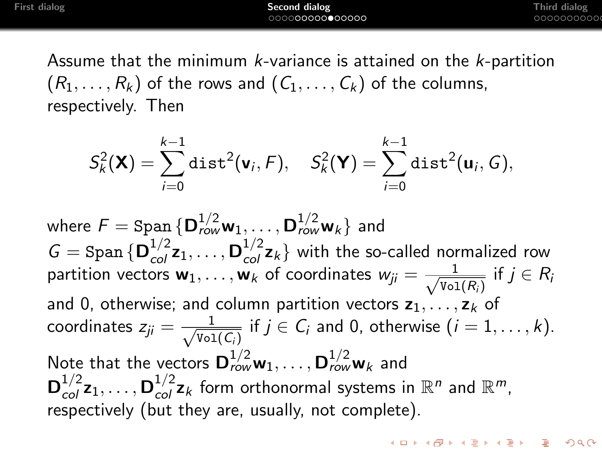**KORKA ERKER EL VOLO** 

Assume that the minimum k-variance is attained on the k-partition  $(R_1,\ldots,R_k)$  of the rows and  $(C_1,\ldots,C_k)$  of the columns, respectively. Then

$$
S_k^2(\mathbf{X}) = \sum_{i=0}^{k-1} \text{dist}^2(\mathbf{v}_i, F), \quad S_k^2(\mathbf{Y}) = \sum_{i=0}^{k-1} \text{dist}^2(\mathbf{u}_i, G),
$$

where  $\mathcal{F}=\text{Span}\,\{\mathsf{D}_{row}^{1/2}\mathsf{w}_1,\ldots,\mathsf{D}_{row}^{1/2}\mathsf{w}_k\}$  and  $G = \text{Span} \{ \mathbf{D}_{col}^{1/2} \mathbf{z}_1, \ldots, \mathbf{D}_{col}^{1/2} \mathbf{z}_k \}$  with the so-called normalized row partition vectors  $\mathbf{w}_1, \ldots, \mathbf{w}_k$  of coordinates  $w_{ji} = \frac{1}{\sqrt{m_i}}$  $\frac{1}{\text{Vol}(R_i)}$  if  $j \in R_i$ and 0, otherwise; and column partition vectors  $z_1, \ldots, z_k$  of coordinates  $z_{ji} = \frac{1}{\sqrt{n-1}}$  $\frac{1}{\text{Vol}(C_i)}$  if  $j \in C_i$  and 0, otherwise  $(i = 1, \ldots, k)$ . Note that the vectors  ${\bf D}^{1/2}_{row}{\bf w}_1,\ldots,{\bf D}^{1/2}_{row}{\bf w}_k$  and  ${\bf D}^{1/2}_{col} {\bf z}_1, \ldots, {\bf D}^{1/2}_{col} {\bf z}_k$  form orthonormal systems in  $\mathbb{R}^n$  and  $\mathbb{R}^m$ , respectively (but they are, usually, not complete).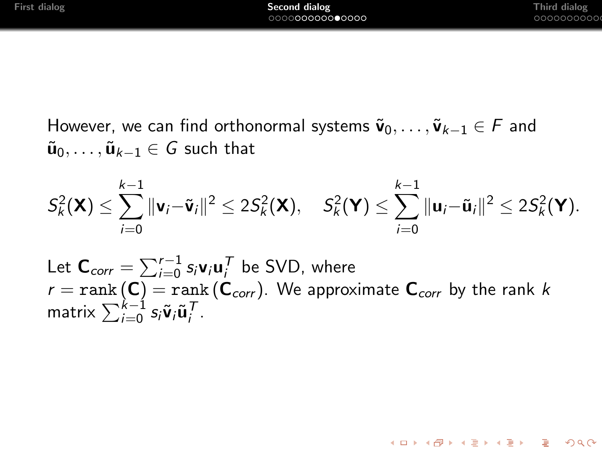However, we can find orthonormal systems  $\tilde{\mathbf{v}}_0, \ldots, \tilde{\mathbf{v}}_{k-1} \in F$  and  $\tilde{\mathbf{u}}_0, \ldots, \tilde{\mathbf{u}}_{k-1} \in G$  such that

$$
S_k^2(\mathbf{X}) \leq \sum_{i=0}^{k-1} \|\mathbf{v}_i - \tilde{\mathbf{v}}_i\|^2 \leq 2S_k^2(\mathbf{X}), \quad S_k^2(\mathbf{Y}) \leq \sum_{i=0}^{k-1} \|\mathbf{u}_i - \tilde{\mathbf{u}}_i\|^2 \leq 2S_k^2(\mathbf{Y}).
$$

Let  $\textsf{C}_{corr} = \sum_{i=0}^{r-1} s_i \textsf{v}_i \textsf{u}_i^{\mathcal{T}}$  be SVD, where  $r = \text{rank}\left(\bm{\mathsf{C}}\right) = \text{rank}\left(\bm{\mathsf{C}}_{corr}\right)$ . We approximate  $\bm{\mathsf{C}}_{corr}$  by the rank  $k$ matrix  $\sum_{i=0}^{k-1} s_i \tilde{\mathbf{v}}_i \tilde{\mathbf{u}}_i^{\mathcal{T}}$ .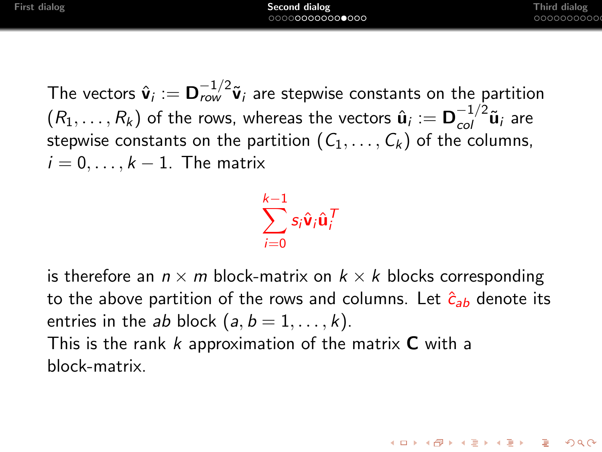The vectors  $\hat{\bm{v}}_i := \bm{D}_{row}^{-1/2} \tilde{\bm{v}}_i$  are stepwise constants on the partition  $(R_1,\ldots,R_k)$  of the rows, whereas the vectors  $\hat{\bf u}_i:={\bf D}_{col}^{-1/2}\tilde{\bf u}_i$  are stepwise constants on the partition  $(C_1, \ldots, C_k)$  of the columns,  $i = 0, \ldots, k - 1$ . The matrix

> $\sum$  $k-1$  $i=0$  $s_i \hat{\mathbf{v}}_i \hat{\mathbf{u}}_i^{\mathsf{T}}$

is therefore an  $n \times m$  block-matrix on  $k \times k$  blocks corresponding to the above partition of the rows and columns. Let  $\hat{c}_{ab}$  denote its entries in the ab block  $(a, b = 1, \ldots, k)$ . This is the rank  $k$  approximation of the matrix  $C$  with a block-matrix.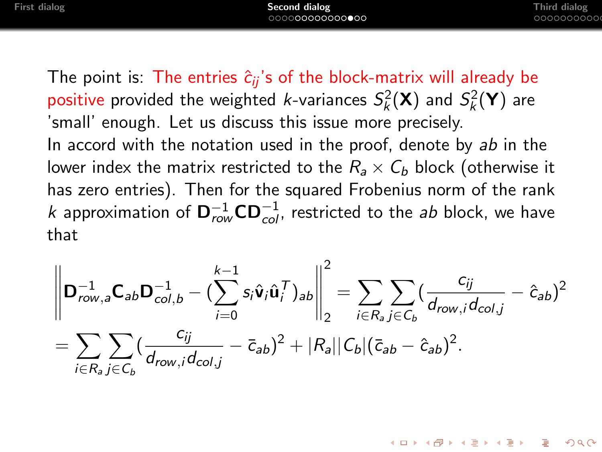The point is: The entries  $\hat{c}_{ii}$ 's of the block-matrix will already be positive provided the weighted *k*-variances  $S_k^2(\mathbf{X})$  and  $S_k^2(\mathbf{Y})$  are 'small' enough. Let us discuss this issue more precisely. In accord with the notation used in the proof, denote by ab in the lower index the matrix restricted to the  $R_a \times C_b$  block (otherwise it has zero entries). Then for the squared Frobenius norm of the rank k approximation of  $\mathbf{D}_{row}^{-1}\mathbf{C}\mathbf{D}_{col}^{-1}$ , restricted to the ab block, we have that

$$
\left\| \mathbf{D}_{row,a}^{-1} \mathbf{C}_{ab} \mathbf{D}_{col,b}^{-1} - (\sum_{i=0}^{k-1} s_i \hat{\mathbf{v}}_i \hat{\mathbf{u}}_i^T)_{ab} \right\|_2^2 = \sum_{i \in R_a} \sum_{j \in C_b} (\frac{c_{ij}}{d_{row,i} d_{col,j}} - \hat{c}_{ab})^2
$$
  
= 
$$
\sum_{i \in R_a} \sum_{j \in C_b} (\frac{c_{ij}}{d_{row,i} d_{col,j}} - \bar{c}_{ab})^2 + |R_a||C_b|(\bar{c}_{ab} - \hat{c}_{ab})^2.
$$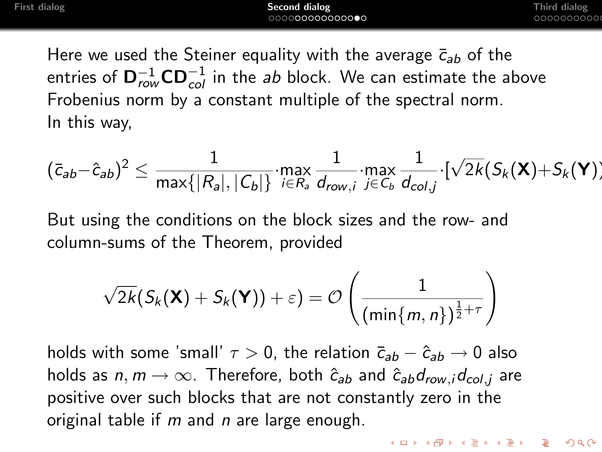Here we used the Steiner equality with the average  $\bar{c}_{ab}$  of the entries of  $\mathsf{D}_{row}^{-1}\mathsf{CD}_{col}^{-1}$  in the *ab* block. We can estimate the above Frobenius norm by a constant multiple of the spectral norm. In this way,

$$
(\bar{c}_{ab}-\hat{c}_{ab})^2\leq \frac{1}{\max\{|R_a|,|C_b|\}}\cdot \max_{i\in R_a}\frac{1}{d_{row,i}}\cdot \max_{j\in C_b}\frac{1}{d_{col,j}}\cdot [\sqrt{2k}(S_k(\mathbf{X})+S_k(\mathbf{Y}))
$$

But using the conditions on the block sizes and the row- and column-sums of the Theorem, provided

$$
\sqrt{2k}(S_k(\mathbf{X})+S_k(\mathbf{Y}))+\varepsilon)=\mathcal{O}\left(\frac{1}{(\min\{m,n\})^{\frac{1}{2}+\tau}}\right)
$$

holds with some 'small'  $\tau > 0$ , the relation  $\bar{c}_{ab} - \hat{c}_{ab} \rightarrow 0$  also holds as  $n, m \rightarrow \infty$ . Therefore, both  $\hat{c}_{ab}$  and  $\hat{c}_{ab}d_{row,i}d_{col,i}$  are positive over such blocks that are not constantly zero in the original table if  $m$  and  $n$  are large enough.

**KORK ERKER ADAM ADA**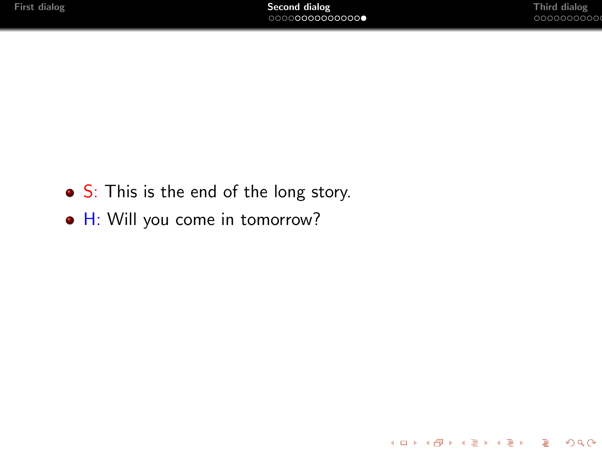K ロ ▶ K @ ▶ K 할 ▶ K 할 ▶ 이 할 → 9 Q @

- S: This is the end of the long story.
- $\bullet$  H: Will you come in tomorrow?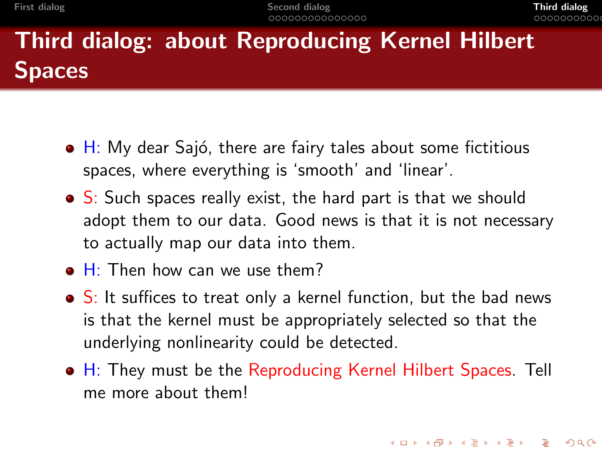# Third dialog: about Reproducing Kernel Hilbert **Spaces**

- $\bullet$  H: My dear Sajó, there are fairy tales about some fictitious spaces, where everything is 'smooth' and 'linear'.
- S: Such spaces really exist, the hard part is that we should adopt them to our data. Good news is that it is not necessary to actually map our data into them.
- $\bullet$  H: Then how can we use them?
- S: It suffices to treat only a kernel function, but the bad news is that the kernel must be appropriately selected so that the underlying nonlinearity could be detected.
- <span id="page-23-0"></span>• H: They must be the Reproducing Kernel Hilbert Spaces. Tell me more about them!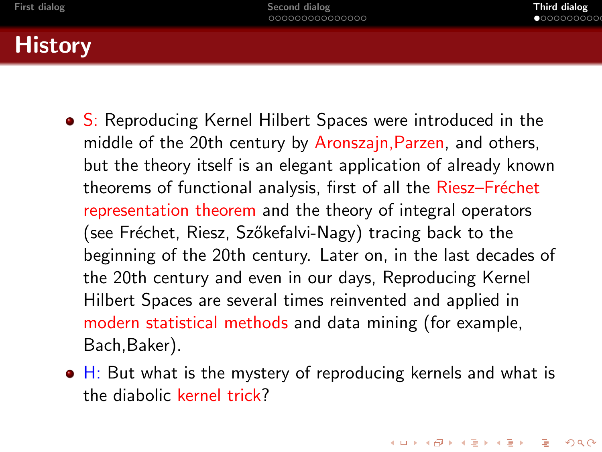# **History**

- S: Reproducing Kernel Hilbert Spaces were introduced in the middle of the 20th century by Aronszajn,Parzen, and others, but the theory itself is an elegant application of already known theorems of functional analysis, first of all the Riesz-Fréchet representation theorem and the theory of integral operators (see Fréchet, Riesz, Szőkefalvi-Nagy) tracing back to the beginning of the 20th century. Later on, in the last decades of the 20th century and even in our days, Reproducing Kernel Hilbert Spaces are several times reinvented and applied in modern statistical methods and data mining (for example, Bach,Baker).
- $\bullet$  H: But what is the mystery of reproducing kernels and what is the diabolic kernel trick?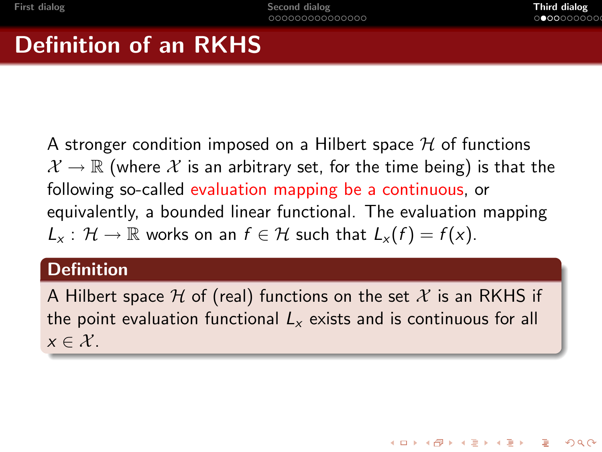# Definition of an RKHS

A stronger condition imposed on a Hilbert space  $H$  of functions  $\mathcal{X} \to \mathbb{R}$  (where  $\mathcal{X}$  is an arbitrary set, for the time being) is that the following so-called evaluation mapping be a continuous, or equivalently, a bounded linear functional. The evaluation mapping  $L_x: \mathcal{H} \to \mathbb{R}$  works on an  $f \in \mathcal{H}$  such that  $L_x(f) = f(x)$ .

#### **Definition**

A Hilbert space  $H$  of (real) functions on the set  $X$  is an RKHS if the point evaluation functional  $L<sub>x</sub>$  exists and is continuous for all  $x \in \mathcal{X}$ .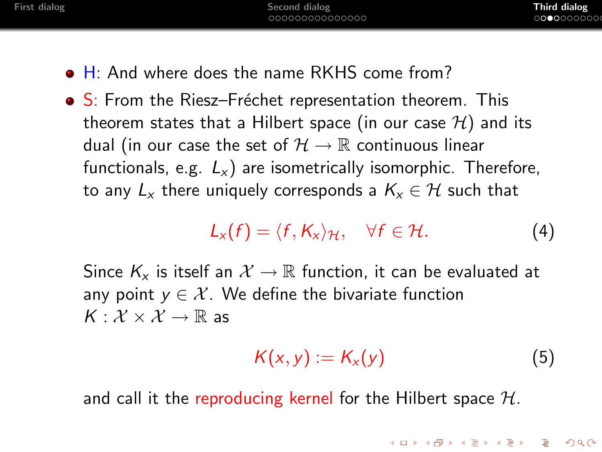- H: And where does the name RKHS come from?
- S: From the Riesz–Fréchet representation theorem. This theorem states that a Hilbert space (in our case  $\mathcal{H}$ ) and its dual (in our case the set of  $\mathcal{H} \to \mathbb{R}$  continuous linear functionals, e.g.  $L_x$ ) are isometrically isomorphic. Therefore, to any  $L_x$  there uniquely corresponds a  $K_x \in \mathcal{H}$  such that

<span id="page-26-0"></span>
$$
L_x(f) = \langle f, K_x \rangle_{\mathcal{H}}, \quad \forall f \in \mathcal{H}.
$$
 (4)

Since  $K_x$  is itself an  $\mathcal{X} \to \mathbb{R}$  function, it can be evaluated at any point  $y \in \mathcal{X}$ . We define the bivariate function  $K: \mathcal{X} \times \mathcal{X} \rightarrow \mathbb{R}$  as

<span id="page-26-1"></span>
$$
K(x, y) := K_x(y) \tag{5}
$$

**KORKARYKERKER POLO** 

and call it the reproducing kernel for the Hilbert space  $H$ .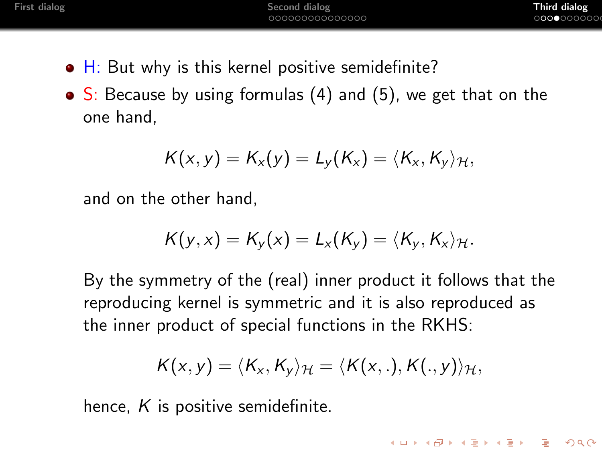**KORK ERKER ADAM ADA** 

- $\bullet$  H: But why is this kernel positive semidefinite?
- $\bullet$  S: Because by using formulas [\(4\)](#page-26-0) and [\(5\)](#page-26-1), we get that on the one hand,

$$
K(x,y)=K_x(y)=L_y(K_x)=\langle K_x,K_y\rangle_{\mathcal{H}},
$$

and on the other hand,

$$
K(y,x)=K_y(x)=L_x(K_y)=\langle K_y,K_x\rangle_{\mathcal{H}}.
$$

By the symmetry of the (real) inner product it follows that the reproducing kernel is symmetric and it is also reproduced as the inner product of special functions in the RKHS:

$$
K(x,y)=\langle K_x,K_y\rangle_{\mathcal{H}}=\langle K(x,.),K(.,y)\rangle_{\mathcal{H}},
$$

hence,  $K$  is positive semidefinite.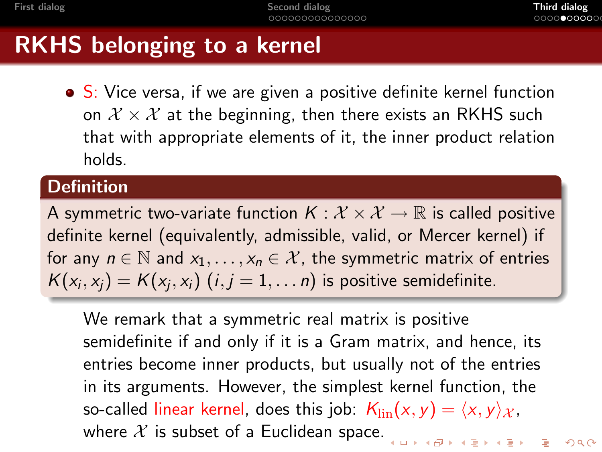## RKHS belonging to a kernel

• S: Vice versa, if we are given a positive definite kernel function on  $\mathcal{X} \times \mathcal{X}$  at the beginning, then there exists an RKHS such that with appropriate elements of it, the inner product relation holds.

#### **Definition**

A symmetric two-variate function  $K: \mathcal{X} \times \mathcal{X} \to \mathbb{R}$  is called positive definite kernel (equivalently, admissible, valid, or Mercer kernel) if for any  $n \in \mathbb{N}$  and  $x_1, \ldots, x_n \in \mathcal{X}$ , the symmetric matrix of entries  $\mathcal{K}(x_i, x_j) = \mathcal{K}(x_j, x_i)$   $(i, j = 1, \ldots n)$  is positive semidefinite.

We remark that a symmetric real matrix is positive semidefinite if and only if it is a Gram matrix, and hence, its entries become inner products, but usually not of the entries in its arguments. However, the simplest kernel function, the so-called linear kernel, does this job:  $K_{\text{lin}}(x, y) = \langle x, y \rangle_{\mathcal{X}}$ , where  $X$  is subset of a Euclidean space. YO KARIYA EN YEN DA YO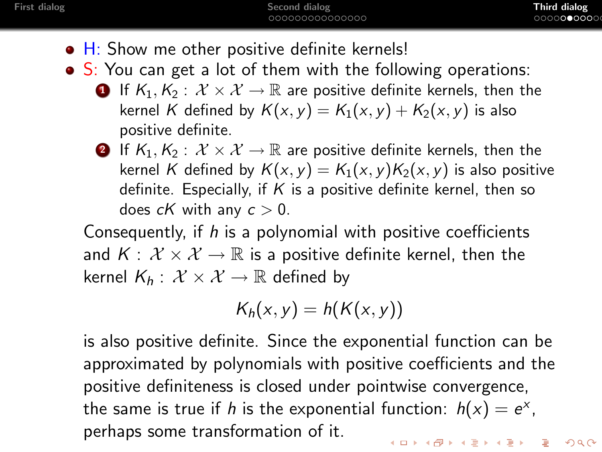- H: Show me other positive definite kernels!
- S: You can get a lot of them with the following operations:
	- **1** If  $K_1, K_2 : \mathcal{X} \times \mathcal{X} \to \mathbb{R}$  are positive definite kernels, then the kernel K defined by  $K(x, y) = K_1(x, y) + K_2(x, y)$  is also positive definite.
	- **2** If  $K_1, K_2 : \mathcal{X} \times \mathcal{X} \to \mathbb{R}$  are positive definite kernels, then the kernel K defined by  $K(x, y) = K_1(x, y)K_2(x, y)$  is also positive definite. Especially, if  $K$  is a positive definite kernel, then so does  $cK$  with any  $c > 0$ .

Consequently, if h is a polynomial with positive coefficients and  $K: \mathcal{X} \times \mathcal{X} \rightarrow \mathbb{R}$  is a positive definite kernel, then the kernel  $K_h: \mathcal{X} \times \mathcal{X} \rightarrow \mathbb{R}$  defined by

$$
K_h(x,y)=h(K(x,y))
$$

is also positive definite. Since the exponential function can be approximated by polynomials with positive coefficients and the positive definiteness is closed under pointwise convergence, the same is true if h is the exponential function:  $h(x) = e^x$ , perhaps some transformation of it.**KORKAPRA ER ET A GAR**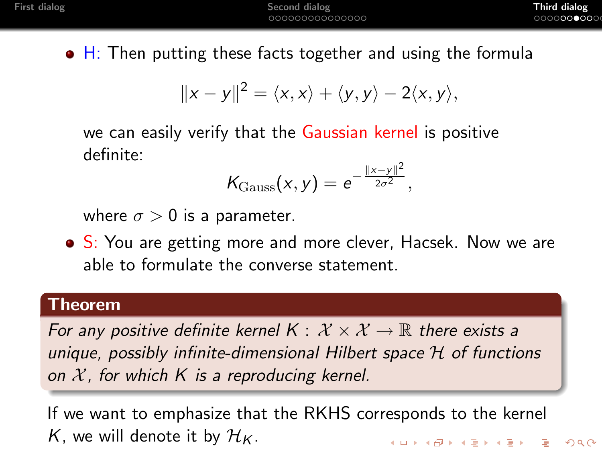$\bullet$  H: Then putting these facts together and using the formula

$$
||x-y||^2 = \langle x,x\rangle + \langle y,y\rangle - 2\langle x,y\rangle,
$$

we can easily verify that the Gaussian kernel is positive definite:

$$
\mathcal{K}_{\mathrm{Gauss}}(x,y) = e^{-\frac{||x-y||^2}{2\sigma^2}},
$$

where  $\sigma > 0$  is a parameter.

• S: You are getting more and more clever, Hacsek. Now we are able to formulate the converse statement.

#### Theorem

For any positive definite kernel  $K: \mathcal{X} \times \mathcal{X} \rightarrow \mathbb{R}$  there exists a unique, possibly infinite-dimensional Hilbert space H of functions on  $X$ , for which K is a reproducing kernel.

If we want to emphasize that the RKHS corresponds to the kernel K, we will denote it by  $\mathcal{H}_K$ . **KORK ERKER ADAM ADA**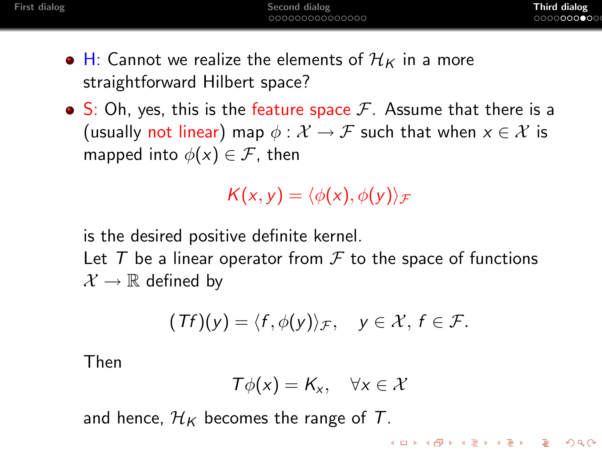- $\bullet$  H: Cannot we realize the elements of  $\mathcal{H}_K$  in a more straightforward Hilbert space?
- $\bullet$  S: Oh, yes, this is the feature space  $\mathcal{F}$ . Assume that there is a (usually not linear) map  $\phi : \mathcal{X} \to \mathcal{F}$  such that when  $x \in \mathcal{X}$  is mapped into  $\phi(x) \in \mathcal{F}$ , then

$$
K(x,y)=\langle \phi(x),\phi(y)\rangle_{\mathcal{F}}
$$

is the desired positive definite kernel.

Let  $T$  be a linear operator from  $\mathcal F$  to the space of functions  $\mathcal{X} \to \mathbb{R}$  defined by

$$
(Tf)(y) = \langle f, \phi(y) \rangle_{\mathcal{F}}, \quad y \in \mathcal{X}, f \in \mathcal{F}.
$$

Then

$$
T\phi(x)=K_x, \quad \forall x\in\mathcal{X}
$$

and hence,  $\mathcal{H}_K$  becomes the range of T.

**KORKARYKERKER POLO**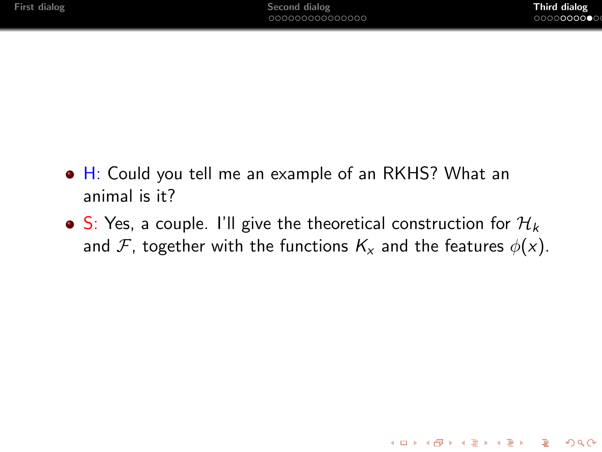**KORK ERKER ADAM ADA** 

- H: Could you tell me an example of an RKHS? What an animal is it?
- S: Yes, a couple. I'll give the theoretical construction for  $\mathcal{H}_k$ and F, together with the functions  $K_x$  and the features  $\phi(x)$ .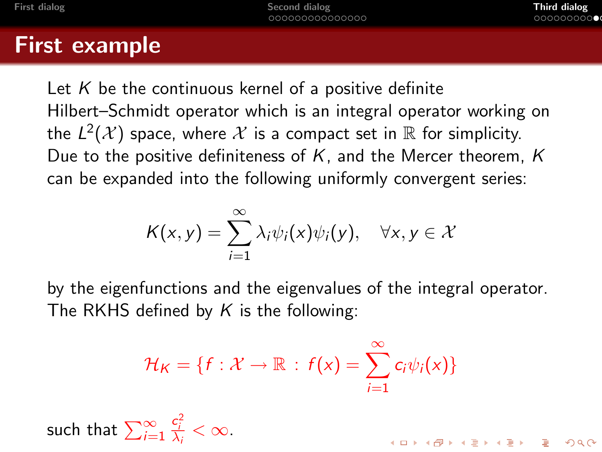## First example

Let K be the continuous kernel of a positive definite Hilbert–Schmidt operator which is an integral operator working on the  $L^2(\mathcal{X})$  space, where  $\mathcal X$  is a compact set in  $\mathbb R$  for simplicity. Due to the positive definiteness of K, and the Mercer theorem, K can be expanded into the following uniformly convergent series:

$$
K(x,y)=\sum_{i=1}^{\infty}\lambda_i\psi_i(x)\psi_i(y),\quad \forall x,y\in\mathcal{X}
$$

by the eigenfunctions and the eigenvalues of the integral operator. The RKHS defined by  $K$  is the following:

$$
\mathcal{H}_K = \{f: \mathcal{X} \to \mathbb{R} : f(x) = \sum_{i=1}^{\infty} c_i \psi_i(x)\}
$$

<span id="page-33-0"></span>such that 
$$
\sum_{i=1}^{\infty} \frac{c_i^2}{\lambda_i} < \infty
$$
.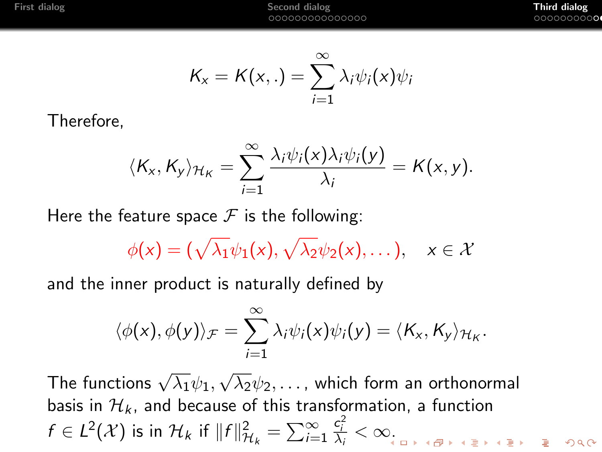$$
K_{x}=K(x,.)=\sum_{i=1}^{\infty}\lambda_{i}\psi_{i}(x)\psi_{i}
$$

Therefore,

$$
\langle K_{x}, K_{y} \rangle_{\mathcal{H}_{K}} = \sum_{i=1}^{\infty} \frac{\lambda_{i} \psi_{i}(x) \lambda_{i} \psi_{i}(y)}{\lambda_{i}} = K(x, y).
$$

Here the feature space  $\mathcal F$  is the following:

$$
\phi(x) = (\sqrt{\lambda_1}\psi_1(x), \sqrt{\lambda_2}\psi_2(x), \dots), \quad x \in \mathcal{X}
$$

and the inner product is naturally defined by

$$
\langle \phi(x), \phi(y) \rangle_{\mathcal{F}} = \sum_{i=1}^{\infty} \lambda_i \psi_i(x) \psi_i(y) = \langle K_x, K_y \rangle_{\mathcal{H}_K}.
$$

The functions  $\sqrt{\lambda_1}\psi_1,$ √  $\overline{\lambda_2}\psi_2,\ldots$  , which form an orthonormal basis in  $\mathcal{H}_k$ , and because of this transformation, a function  $\frac{c_i^2}{\lambda_i} < \infty$ .  $f \in L^2(\mathcal{X})$  is in  $\mathcal{H}_k$  if  $||f||^2_{\mathcal{H}_k} = \sum_{i=1}^{\infty}$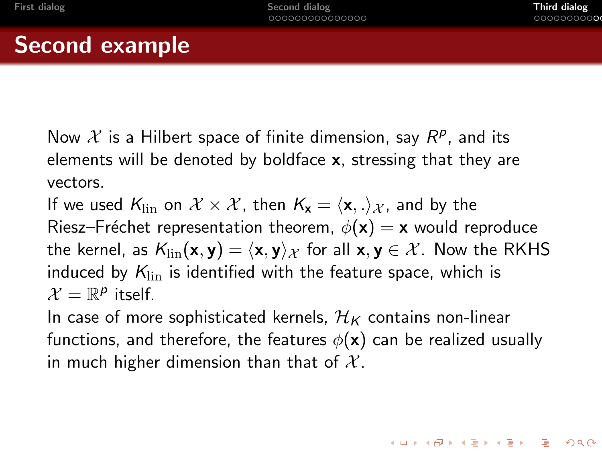**KORKAPRA ER ET A GAR** 

## Second example

Now  $\mathcal X$  is a Hilbert space of finite dimension, say  $R^p$ , and its elements will be denoted by boldface  $x$ , stressing that they are vectors.

If we used  $K_{\text{lin}}$  on  $\mathcal{X} \times \mathcal{X}$ , then  $K_{\mathbf{x}} = \langle \mathbf{x}, . \rangle_{\mathcal{X}}$ , and by the Riesz–Fréchet representation theorem,  $\phi(\mathbf{x}) = \mathbf{x}$  would reproduce the kernel, as  $K_{lin}(\mathbf{x}, \mathbf{y}) = \langle \mathbf{x}, \mathbf{y} \rangle_{\mathcal{X}}$  for all  $\mathbf{x}, \mathbf{y} \in \mathcal{X}$ . Now the RKHS induced by  $K_{lin}$  is identified with the feature space, which is  $\mathcal{X} = \mathbb{R}^p$  itself.

In case of more sophisticated kernels,  $\mathcal{H}_K$  contains non-linear functions, and therefore, the features  $\phi(\mathbf{x})$  can be realized usually in much higher dimension than that of  $X$ .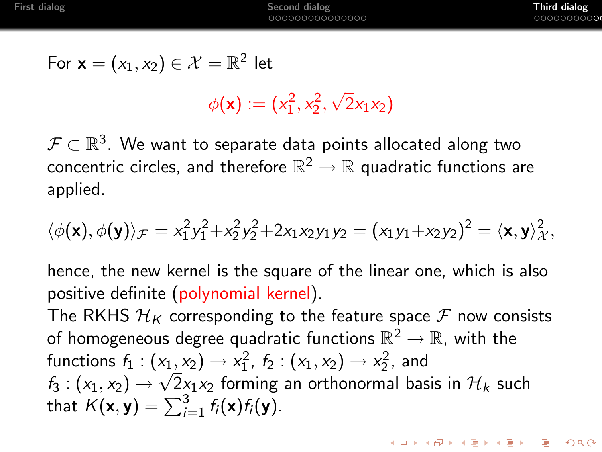**KORKA ERKER EL VOLO** 

$$
\text{For } \mathbf{x} = (x_1, x_2) \in \mathcal{X} = \mathbb{R}^2 \text{ let }
$$

 $\phi(\mathbf{x}) := (x_1^2, x_2^2,$ √  $2x_1x_2$ 

 $\mathcal{F} \subset \mathbb{R}^3.$  We want to separate data points allocated along two concentric circles, and therefore  $\mathbb{R}^2 \to \mathbb{R}$  quadratic functions are applied.

$$
\langle \phi(\textbf{x}), \phi(\textbf{y}) \rangle_{\mathcal{F}} = x_1^2 y_1^2 + x_2^2 y_2^2 + 2x_1 x_2 y_1 y_2 = (x_1 y_1 + x_2 y_2)^2 = \langle \textbf{x}, \textbf{y} \rangle_{\mathcal{X}}^2,
$$

hence, the new kernel is the square of the linear one, which is also positive definite (polynomial kernel).

The RKHS  $\mathcal{H}_K$  corresponding to the feature space  $\mathcal F$  now consists of homogeneous degree quadratic functions  $\mathbb{R}^2 \to \mathbb{R}$ , with the functions  $f_1 : (x_1, x_2) \to x_1^2$ ,  $f_2 : (x_1, x_2) \to x_2^2$ , and  $f_3: (\mathsf{x}_1, \mathsf{x}_2) \to \sqrt{2} \mathsf{x}_1 \mathsf{x}_2$  forming an orthonormal basis in  $\mathcal{H}_k$  such that  $K(\mathbf{x}, \mathbf{y}) = \sum_{i=1}^{3} f_i(\mathbf{x}) f_i(\mathbf{y}).$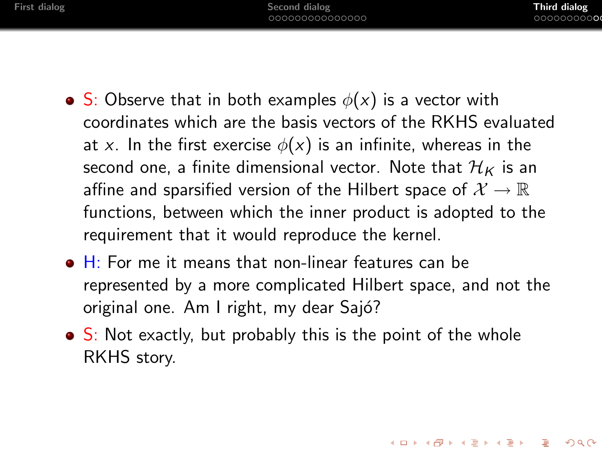- S: Observe that in both examples  $\phi(x)$  is a vector with coordinates which are the basis vectors of the RKHS evaluated at x. In the first exercise  $\phi(x)$  is an infinite, whereas in the second one, a finite dimensional vector. Note that  $\mathcal{H}_K$  is an affine and sparsified version of the Hilbert space of  $\mathcal{X} \to \mathbb{R}$ functions, between which the inner product is adopted to the requirement that it would reproduce the kernel.
- $\bullet$  H: For me it means that non-linear features can be represented by a more complicated Hilbert space, and not the original one. Am I right, my dear Sajó?
- $\bullet$  S: Not exactly, but probably this is the point of the whole RKHS story.